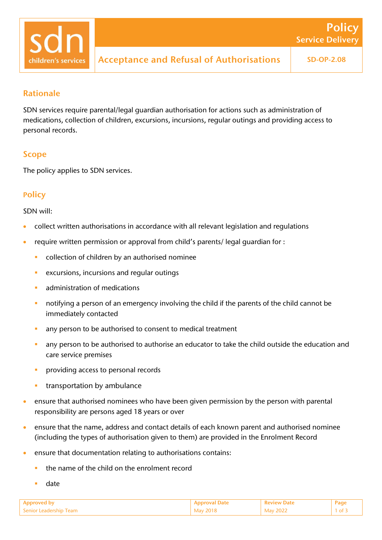

# Rationale

SDN services require parental/legal guardian authorisation for actions such as administration of medications, collection of children, excursions, incursions, regular outings and providing access to personal records.

# Scope

The policy applies to SDN services.

## **Policy**

SDN will:

- collect written authorisations in accordance with all relevant legislation and regulations
- require written permission or approval from child's parents/ legal guardian for :
	- collection of children by an authorised nominee
	- **EXECUTE:** excursions, incursions and regular outings
	- administration of medications
	- notifying a person of an emergency involving the child if the parents of the child cannot be immediately contacted
	- any person to be authorised to consent to medical treatment
	- any person to be authorised to authorise an educator to take the child outside the education and care service premises
	- providing access to personal records
	- transportation by ambulance
- ensure that authorised nominees who have been given permission by the person with parental responsibility are persons aged 18 years or over
- ensure that the name, address and contact details of each known parent and authorised nominee (including the types of authorisation given to them) are provided in the Enrolment Record
- ensure that documentation relating to authorisations contains:
	- the name of the child on the enrolment record
	- date

| Senior Leadership Team | $- - - -$ | ־ירו<br>$- - - -$ |  |
|------------------------|-----------|-------------------|--|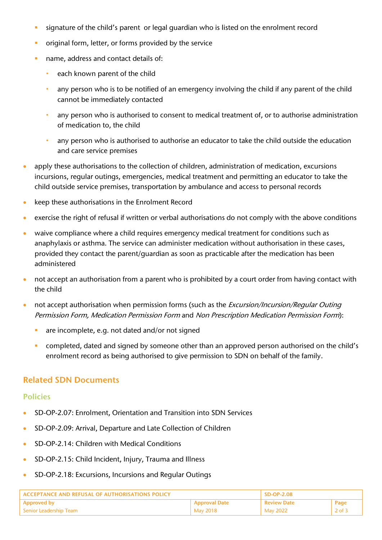- **signature of the child's parent or legal guardian who is listed on the enrolment record**
- original form, letter, or forms provided by the service
- name, address and contact details of:
	- each known parent of the child
	- any person who is to be notified of an emergency involving the child if any parent of the child cannot be immediately contacted
	- any person who is authorised to consent to medical treatment of, or to authorise administration of medication to, the child
	- any person who is authorised to authorise an educator to take the child outside the education and care service premises
- apply these authorisations to the collection of children, administration of medication, excursions incursions, regular outings, emergencies, medical treatment and permitting an educator to take the child outside service premises, transportation by ambulance and access to personal records
- keep these authorisations in the Enrolment Record
- exercise the right of refusal if written or verbal authorisations do not comply with the above conditions
- waive compliance where a child requires emergency medical treatment for conditions such as anaphylaxis or asthma. The service can administer medication without authorisation in these cases, provided they contact the parent/guardian as soon as practicable after the medication has been administered
- not accept an authorisation from a parent who is prohibited by a court order from having contact with the child
- not accept authorisation when permission forms (such as the *Excursion/Incursion/Regular Outing* Permission Form, Medication Permission Form and Non Prescription Medication Permission Form):
	- are incomplete, e.g. not dated and/or not signed
	- **Completed, dated and signed by someone other than an approved person authorised on the child's** enrolment record as being authorised to give permission to SDN on behalf of the family.

## Related SDN Documents

#### Policies

- SD-OP-2.07: Enrolment, Orientation and Transition into SDN Services
- SD-OP-2.09: Arrival, Departure and Late Collection of Children
- SD-OP-2.14: Children with Medical Conditions
- SD-OP-2.15: Child Incident, Injury, Trauma and Illness
- SD-OP-2.18: Excursions, Incursions and Regular Outings

| ACCEPTANCE AND REFUSAL OF AUTHORISATIONS POLICY |               | $SD-OP-2.08$       |          |
|-------------------------------------------------|---------------|--------------------|----------|
| <b>Approved by</b>                              | Approval Date | <b>Review Date</b> | Page     |
| Senior Leadership Team                          | May 2018      | <b>May 2022</b>    | $2$ of . |